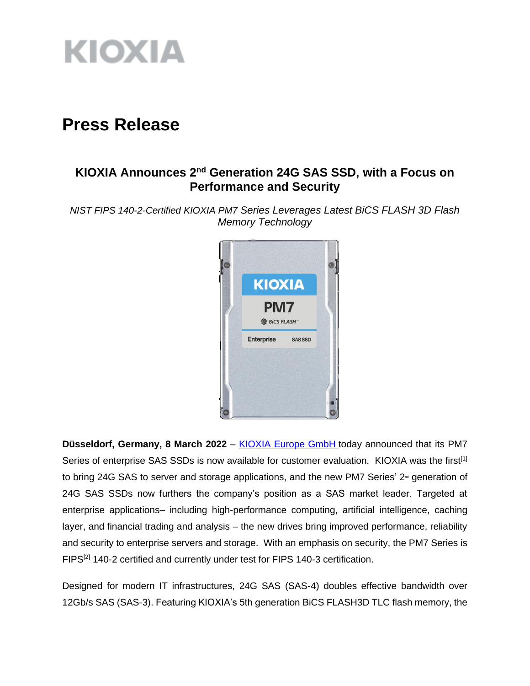

# **Press Release**

## **KIOXIA Announces 2nd Generation 24G SAS SSD, with a Focus on Performance and Security**

*NIST FIPS 140-2-Certified KIOXIA PM7 Series Leverages Latest BiCS FLASH 3D Flash Memory Technology*



**Düsseldorf, Germany, 8 March 2022** – [KIOXIA Europe GmbH](https://www.kioxia.com/en-emea/top.html) today announced that its PM7 Series of enterprise SAS SSDs is now available for customer evaluation. KIOXIA was the first<sup>[1]</sup> to bring 24G SAS to server and storage applications, and the new PM7 Series'  $2<sup>nd</sup>$  generation of 24G SAS SSDs now furthers the company's position as a SAS market leader. Targeted at enterprise applications– including high-performance computing, artificial intelligence, caching layer, and financial trading and analysis – the new drives bring improved performance, reliability and security to enterprise servers and storage. With an emphasis on security, the PM7 Series is FIPS[2] 140-2 certified and currently under test for FIPS 140-3 certification.

Designed for modern IT infrastructures, 24G SAS (SAS-4) doubles effective bandwidth over 12Gb/s SAS (SAS-3). Featuring KIOXIA's 5th generation BiCS FLASH3D TLC flash memory, the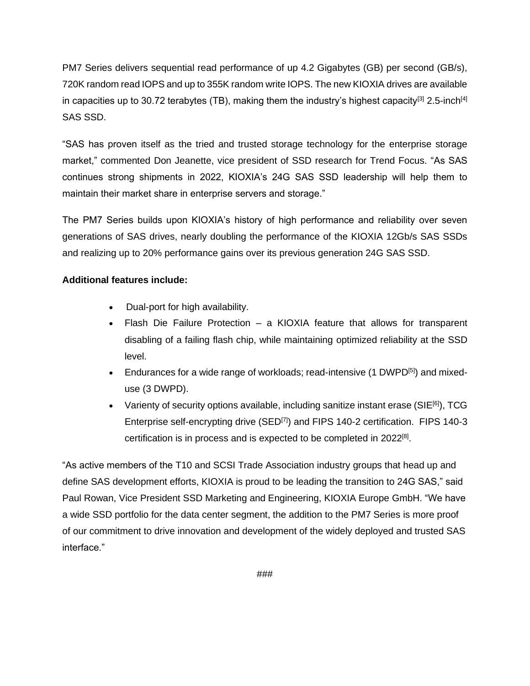PM7 Series delivers sequential read performance of up 4.2 Gigabytes (GB) per second (GB/s), 720K random read IOPS and up to 355K random write IOPS. The new KIOXIA drives are available in capacities up to 30.72 terabytes (TB), making them the industry's highest capacity<sup>[3]</sup> 2.5-inch<sup>[4]</sup> SAS SSD.

"SAS has proven itself as the tried and trusted storage technology for the enterprise storage market," commented Don Jeanette, vice president of SSD research for Trend Focus. "As SAS continues strong shipments in 2022, KIOXIA's 24G SAS SSD leadership will help them to maintain their market share in enterprise servers and storage."

The PM7 Series builds upon KIOXIA's history of high performance and reliability over seven generations of SAS drives, nearly doubling the performance of the KIOXIA 12Gb/s SAS SSDs and realizing up to 20% performance gains over its previous generation 24G SAS SSD.

### **Additional features include:**

- Dual-port for high availability.
- Flash Die Failure Protection a KIOXIA feature that allows for transparent disabling of a failing flash chip, while maintaining optimized reliability at the SSD level.
- Endurances for a wide range of workloads; read-intensive (1 DWPD<sup>[5]</sup>) and mixeduse (3 DWPD).
- Varienty of security options available, including sanitize instant erase (SIE<sup>[6]</sup>), TCG Enterprise self-encrypting drive (SED<sup>[7]</sup>) and FIPS 140-2 certification. FIPS 140-3 certification is in process and is expected to be completed in 2022<sup>[8]</sup>.

"As active members of the T10 and SCSI Trade Association industry groups that head up and define SAS development efforts, KIOXIA is proud to be leading the transition to 24G SAS," said Paul Rowan, Vice President SSD Marketing and Engineering, KIOXIA Europe GmbH. "We have a wide SSD portfolio for the data center segment, the addition to the PM7 Series is more proof of our commitment to drive innovation and development of the widely deployed and trusted SAS interface."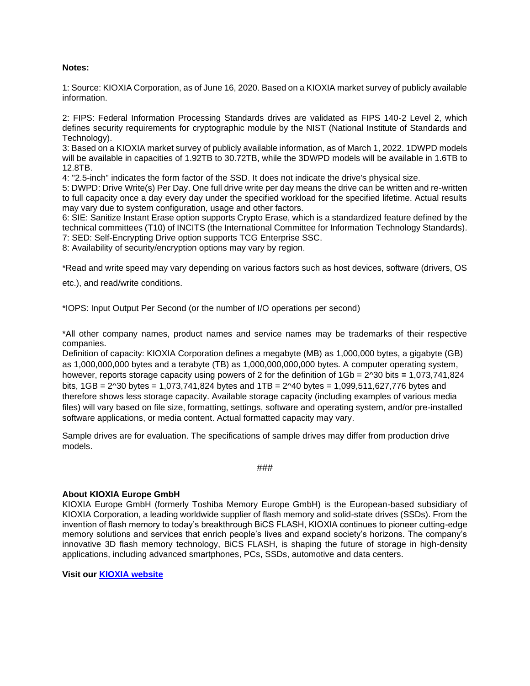#### **Notes:**

1: Source: KIOXIA Corporation, as of June 16, 2020. Based on a KIOXIA market survey of publicly available information.

2: FIPS: Federal Information Processing Standards drives are validated as FIPS 140-2 Level 2, which defines security requirements for cryptographic module by the NIST (National Institute of Standards and Technology).

3: Based on a KIOXIA market survey of publicly available information, as of March 1, 2022. 1DWPD models will be available in capacities of 1.92TB to 30.72TB, while the 3DWPD models will be available in 1.6TB to 12.8TB.

4: "2.5-inch" indicates the form factor of the SSD. It does not indicate the drive's physical size.

5: DWPD: Drive Write(s) Per Day. One full drive write per day means the drive can be written and re-written to full capacity once a day every day under the specified workload for the specified lifetime. Actual results may vary due to system configuration, usage and other factors.

6: SIE: Sanitize Instant Erase option supports Crypto Erase, which is a standardized feature defined by the technical committees (T10) of INCITS (the International Committee for Information Technology Standards). 7: SED: Self-Encrypting Drive option supports TCG Enterprise SSC.

8: Availability of security/encryption options may vary by region.

\*Read and write speed may vary depending on various factors such as host devices, software (drivers, OS

etc.), and read/write conditions.

\*IOPS: Input Output Per Second (or the number of I/O operations per second)

\*All other company names, product names and service names may be trademarks of their respective companies.

Definition of capacity: KIOXIA Corporation defines a megabyte (MB) as 1,000,000 bytes, a gigabyte (GB) as 1,000,000,000 bytes and a terabyte (TB) as 1,000,000,000,000 bytes. A computer operating system, however, reports storage capacity using powers of 2 for the definition of 1Gb = 2^30 bits **=** 1,073,741,824 bits, 1GB = 2^30 bytes = 1,073,741,824 bytes and 1TB = 2^40 bytes = 1,099,511,627,776 bytes and therefore shows less storage capacity. Available storage capacity (including examples of various media files) will vary based on file size, formatting, settings, software and operating system, and/or pre-installed software applications, or media content. Actual formatted capacity may vary.

Sample drives are for evaluation. The specifications of sample drives may differ from production drive models.

```
###
```
#### **About KIOXIA Europe GmbH**

KIOXIA Europe GmbH (formerly Toshiba Memory Europe GmbH) is the European-based subsidiary of KIOXIA Corporation, a leading worldwide supplier of flash memory and solid-state drives (SSDs). From the invention of flash memory to today's breakthrough BiCS FLASH, KIOXIA continues to pioneer cutting-edge memory solutions and services that enrich people's lives and expand society's horizons. The company's innovative 3D flash memory technology, BiCS FLASH, is shaping the future of storage in high-density applications, including advanced smartphones, PCs, SSDs, automotive and data centers.

**Visit our [KIOXIA website](https://www.kioxia.com/en-emea/top.html)**